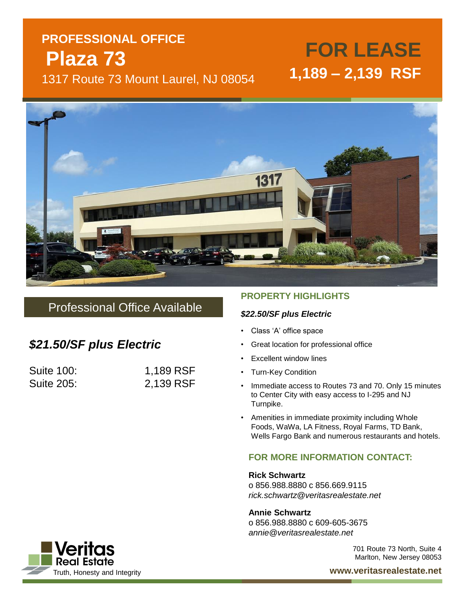### **PROFESSIONAL OFFICE Plaza 73**

1317 Route 73 Mount Laurel, NJ 08054

## **FOR LEASE 1,189 – 2,139 RSF**



### Professional Office Available

### *\$21.50/SF plus Electric*

| Suite 100: | 1,189 RSF |
|------------|-----------|
| Suite 205: | 2,139 RSF |

#### **PROPERTY HIGHLIGHTS**

#### *\$22.50/SF plus Electric*

- Class 'A' office space
- Great location for professional office
- **Excellent window lines**
- **Turn-Key Condition**
- Immediate access to Routes 73 and 70. Only 15 minutes to Center City with easy access to I-295 and NJ Turnpike.
- Amenities in immediate proximity including Whole Foods, WaWa, LA Fitness, Royal Farms, TD Bank, Wells Fargo Bank and numerous restaurants and hotels.

#### **FOR MORE INFORMATION CONTACT:**

#### **Rick Schwartz**

o 856.988.8880 c 856.669.9115 *rick.schwartz@veritasrealestate.net*

**Annie Schwartz**

o 856.988.8880 c 609-605-3675 *annie@veritasrealestate.net*

> 701 Route 73 North, Suite 4 Marlton, New Jersey 08053



**www.veritasrealestate.net**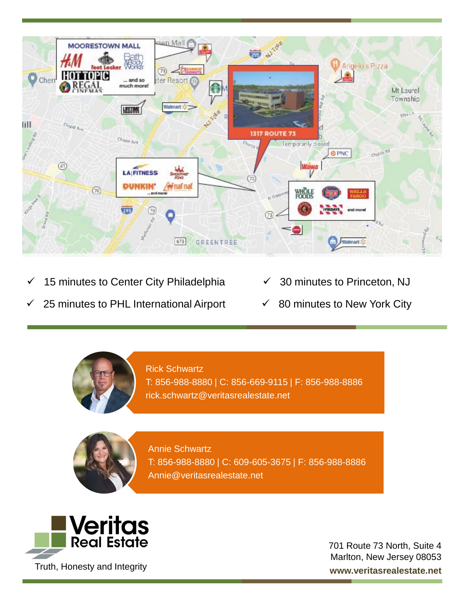

- ✓ 15 minutes to Center City Philadelphia ✓ 30 minutes to Princeton, NJ
- ✓ 25 minutes to PHL International Airport ✓ 80 minutes to New York City
- 
- 



Rick Schwartz T: 856-988-8880 | C: 856-669-9115 | F: 856-988-8886 rick.schwartz@veritasrealestate.net



Annie Schwartz T: 856-988-8880 | C: 609-605-3675 | F: 856-988-8886 Annie@veritasrealestate.net



701 Route 73 North, Suite 4 Marlton, New Jersey 08053 **www.veritasrealestate.net**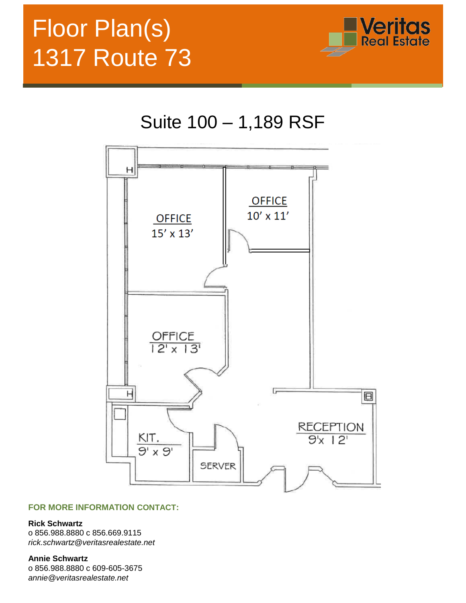# Floor Plan(s) 1317 Route 73



### Suite 100 – 1,189 RSF



#### **FOR MORE INFORMATION CONTACT:**

#### **Rick Schwartz**

o 856.988.8880 c 856.669.9115 *rick.schwartz@veritasrealestate.net*

#### **Annie Schwartz**

o 856.988.8880 c 609-605-3675 *annie@veritasrealestate.net*